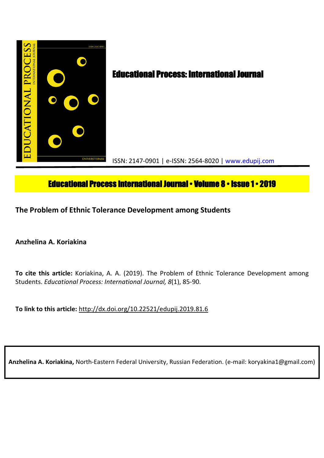

# **Educational Process International Journal • Volume 8 • Issue 1 • 2019**

**The Problem of Ethnic Tolerance Development among Students**

**Anzhelina A. Koriakina**

**To cite this article:** Koriakina, A. A. (2019). The Problem of Ethnic Tolerance Development among Students. *Educational Process: International Journal, 8*(1), 85-90.

**To link to this article:** http://dx.doi.org/10.22521/edupij.2019.81.6

**Anzhelina A. Koriakina,** North-Eastern Federal University, Russian Federation. (e-mail: koryakina1@gmail.com)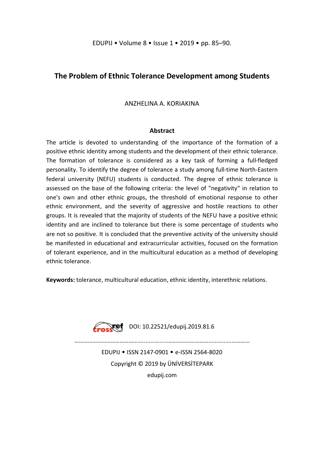# **The Problem of Ethnic Tolerance Development among Students**

ANZHELINA A. KORIAKINA

# **Abstract**

The article is devoted to understanding of the importance of the formation of a positive ethnic identity among students and the development of their ethnic tolerance. The formation of tolerance is considered as a key task of forming a full-fledged personality. To identify the degree of tolerance a study among full-time North-Eastern federal university (NEFU) students is conducted. The degree of ethnic tolerance is assessed on the base of the following criteria: the level of "negativity" in relation to one's own and other ethnic groups, the threshold of emotional response to other ethnic environment, and the severity of aggressive and hostile reactions to other groups. It is revealed that the majority of students of the NEFU have a positive ethnic identity and are inclined to tolerance but there is some percentage of students who are not so positive. It is concluded that the preventive activity of the university should be manifested in educational and extracurricular activities, focused on the formation of tolerant experience, and in the multicultural education as a method of developing ethnic tolerance.

**Keywords:** tolerance, multicultural education, ethnic identity, interethnic relations.



………………………………………........….....………………………………...……………

EDUPIJ • ISSN 2147-0901 • e-ISSN 2564-8020 Copyright © 2019 by ÜNİVERSİTEPARK edupij.com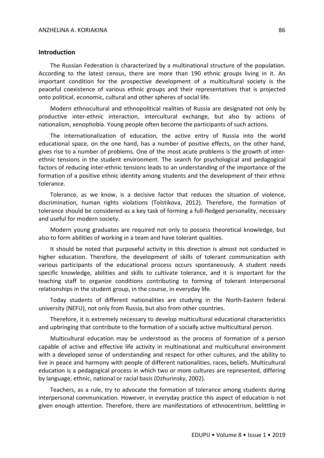#### **Introduction**

The Russian Federation is characterized by a multinational structure of the population. According to the latest census, there are more than 190 ethnic groups living in it. An important condition for the prospective development of a multicultural society is the peaceful coexistence of various ethnic groups and their representatives that is projected onto political, economic, cultural and other spheres of social life.

Modern ethnocultural and ethnopolitical realities of Russia are designated not only by productive inter-ethnic interaction, intercultural exchange, but also by actions of nationalism, xenophobia. Young people often become the participants of such actions.

The internationalization of education, the active entry of Russia into the world educational space, on the one hand, has a number of positive effects, on the other hand, gives rise to a number of problems. One of the most acute problems is the growth of interethnic tensions in the student environment. The search for psychological and pedagogical factors of reducing inter-ethnic tensions leads to an understanding of the importance of the formation of a positive ethnic identity among students and the development of their ethnic tolerance.

Tolerance, as we know, is a decisive factor that reduces the situation of violence, discrimination, human rights violations (Tolstikova, 2012). Therefore, the formation of tolerance should be considered as a key task of forming a full-fledged personality, necessary and useful for modern society.

Modern young graduates are required not only to possess theoretical knowledge, but also to form abilities of working in a team and have tolerant qualities.

It should be noted that purposeful activity in this direction is almost not conducted in higher education. Therefore, the development of skills of tolerant communication with various participants of the educational process occurs spontaneously. A student needs specific knowledge, abilities and skills to cultivate tolerance, and it is important for the teaching staff to organize conditions contributing to forming of tolerant interpersonal relationships in the student group, in the course, in everyday life.

Today students of different nationalities are studying in the North-Eastern federal university (NEFU), not only from Russia, but also from other countries.

Therefore, it is extremely necessary to develop multicultural educational characteristics and upbringing that contribute to the formation of a socially active multicultural person.

Multicultural education may be understood as the process of formation of a person capable of active and effective life activity in multinational and multicultural environment with a developed sense of understanding and respect for other cultures, and the ability to live in peace and harmony with people of different nationalities, races, beliefs. Multicultural education is a pedagogical process in which two or more cultures are represented, differing by language, ethnic, national or racial basis (Dzhurinsky, 2002).

Teachers, as a rule, try to advocate the formation of tolerance among students during interpersonal communication. However, in everyday practice this aspect of education is not given enough attention. Therefore, there are manifestations of ethnocentrism, belittling in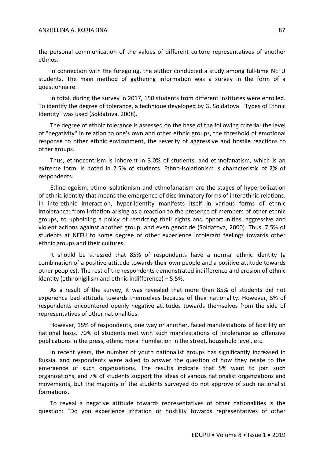#### ANZHELINA A. KORIAKINA 87

the personal communication of the values of different culture representatives of another ethnos.

In connection with the foregoing, the author conducted a study among full-time NEFU students. The main method of gathering information was a survey in the form of a questionnaire.

In total, during the survey in 2017, 150 students from different institutes were enrolled. To identify the degree of tolerance, a technique developed by G. Soldatova "Types of Ethnic Identity" was used (Soldatova, 2008).

The degree of ethnic tolerance is assessed on the base of the following criteria: the level of "negativity" in relation to one's own and other ethnic groups, the threshold of emotional response to other ethnic environment, the severity of aggressive and hostile reactions to other groups.

Thus, ethnocentrism is inherent in 3.0% of students, and ethnofanatism, which is an extreme form, is noted in 2.5% of students. Ethno-isolationism is characteristic of 2% of respondents.

Ethno-egoism, ethno-isolationism and ethnofanatism are the stages of hyperbolization of ethnic identity that means the emergence of discriminatory forms of interethnic relations. In interethnic interaction, hyper-identity manifests itself in various forms of ethnic intolerance: from irritation arising as a reaction to the presence of members of other ethnic groups, to upholding a policy of restricting their rights and opportunities, aggressive and violent actions against another group, and even genocide (Soldatova, 2000). Thus, 7.5% of students at NEFU to some degree or other experience intolerant feelings towards other ethnic groups and their cultures.

It should be stressed that 85% of respondents have a normal ethnic identity (a combination of a positive attitude towards their own people and a positive attitude towards other peoples). The rest of the respondents demonstrated indifference and erosion of ethnic identity (ethnonigilism and ethnic indifference) – 5.5%.

As a result of the survey, it was revealed that more than 85% of students did not experience bad attitude towards themselves because of their nationality. However, 5% of respondents encountered openly negative attitudes towards themselves from the side of representatives of other nationalities.

However, 15% of respondents, one way or another, faced manifestations of hostility on national basis. 70% of students met with such manifestations of intolerance as offensive publications in the press, ethnic moral humiliation in the street, household level, etc.

In recent years, the number of youth nationalist groups has significantly increased in Russia, and respondents were asked to answer the question of how they relate to the emergence of such organizations. The results indicate that 5% want to join such organizations, and 7% of students support the ideas of various nationalist organizations and movements, but the majority of the students surveyed do not approve of such nationalist formations.

To reveal a negative attitude towards representatives of other nationalities is the question: "Do you experience irritation or hostility towards representatives of other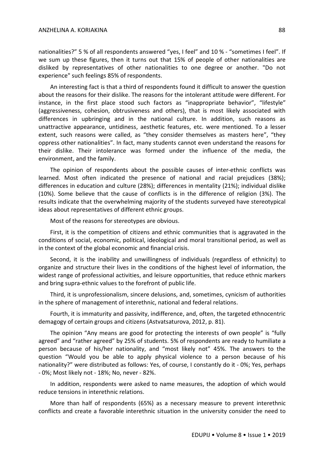nationalities?" 5 % of all respondents answered "yes, I feel" and 10 % - "sometimes I feel". If we sum up these figures, then it turns out that 15% of people of other nationalities are disliked by representatives of other nationalities to one degree or another. "Do not experience" such feelings 85% of respondents.

An interesting fact is that a third of respondents found it difficult to answer the question about the reasons for their dislike. The reasons for the intolerant attitude were different. For instance, in the first place stood such factors as "inappropriate behavior", "lifestyle" (aggressiveness, cohesion, obtrusiveness and others), that is most likely associated with differences in upbringing and in the national culture. In addition, such reasons as unattractive appearance, untidiness, aesthetic features, etc. were mentioned. To a lesser extent, such reasons were called, as "they consider themselves as masters here", "they oppress other nationalities". In fact, many students cannot even understand the reasons for their dislike. Their intolerance was formed under the influence of the media, the environment, and the family.

The opinion of respondents about the possible causes of inter-ethnic conflicts was learned. Most often indicated the presence of national and racial prejudices (38%); differences in education and culture (28%); differences in mentality (21%); individual dislike (10%). Some believe that the cause of conflicts is in the difference of religion (3%). The results indicate that the overwhelming majority of the students surveyed have stereotypical ideas about representatives of different ethnic groups.

Most of the reasons for stereotypes are obvious.

First, it is the competition of citizens and ethnic communities that is aggravated in the conditions of social, economic, political, ideological and moral transitional period, as well as in the context of the global economic and financial crisis.

Second, it is the inability and unwillingness of individuals (regardless of ethnicity) to organize and structure their lives in the conditions of the highest level of information, the widest range of professional activities, and leisure opportunities, that reduce ethnic markers and bring supra-ethnic values to the forefront of public life.

Third, it is unprofessionalism, sincere delusions, and, sometimes, cynicism of authorities in the sphere of management of interethnic, national and federal relations.

Fourth, it is immaturity and passivity, indifference, and, often, the targeted ethnocentric demagogy of certain groups and citizens (Astvatsaturova, 2012, p. 81).

The opinion "Any means are good for protecting the interests of own people" is "fully agreed" and "rather agreed" by 25% of students. 5% of respondents are ready to humiliate a person because of his/her nationality, and "most likely not" 45%. The answers to the question "Would you be able to apply physical violence to a person because of his nationality?" were distributed as follows: Yes, of course, I constantly do it - 0%; Yes, perhaps - 0%; Most likely not - 18%; No, never - 82%.

In addition, respondents were asked to name measures, the adoption of which would reduce tensions in interethnic relations.

More than half of respondents (65%) as a necessary measure to prevent interethnic conflicts and create a favorable interethnic situation in the university consider the need to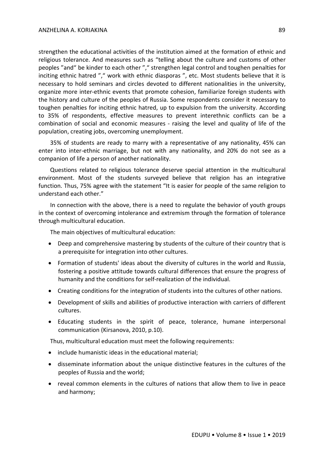strengthen the educational activities of the institution aimed at the formation of ethnic and religious tolerance. And measures such as "telling about the culture and customs of other peoples "and" be kinder to each other "," strengthen legal control and toughen penalties for inciting ethnic hatred "," work with ethnic diasporas ", etc. Most students believe that it is necessary to hold seminars and circles devoted to different nationalities in the university, organize more inter-ethnic events that promote cohesion, familiarize foreign students with the history and culture of the peoples of Russia. Some respondents consider it necessary to toughen penalties for inciting ethnic hatred, up to expulsion from the university. According to 35% of respondents, effective measures to prevent interethnic conflicts can be a combination of social and economic measures - raising the level and quality of life of the population, creating jobs, overcoming unemployment.

35% of students are ready to marry with a representative of any nationality, 45% can enter into inter-ethnic marriage, but not with any nationality, and 20% do not see as a companion of life a person of another nationality.

Questions related to religious tolerance deserve special attention in the multicultural environment. Most of the students surveyed believe that religion has an integrative function. Thus, 75% agree with the statement "It is easier for people of the same religion to understand each other."

In connection with the above, there is a need to regulate the behavior of youth groups in the context of overcoming intolerance and extremism through the formation of tolerance through multicultural education.

The main objectives of multicultural education:

- Deep and comprehensive mastering by students of the culture of their country that is a prerequisite for integration into other cultures.
- Formation of students' ideas about the diversity of cultures in the world and Russia, fostering a positive attitude towards cultural differences that ensure the progress of humanity and the conditions for self-realization of the individual.
- Creating conditions for the integration of students into the cultures of other nations.
- Development of skills and abilities of productive interaction with carriers of different cultures.
- Educating students in the spirit of peace, tolerance, humane interpersonal communication (Kirsanova, 2010, p.10).

Thus, multicultural education must meet the following requirements:

- include humanistic ideas in the educational material;
- disseminate information about the unique distinctive features in the cultures of the peoples of Russia and the world;
- reveal common elements in the cultures of nations that allow them to live in peace and harmony;